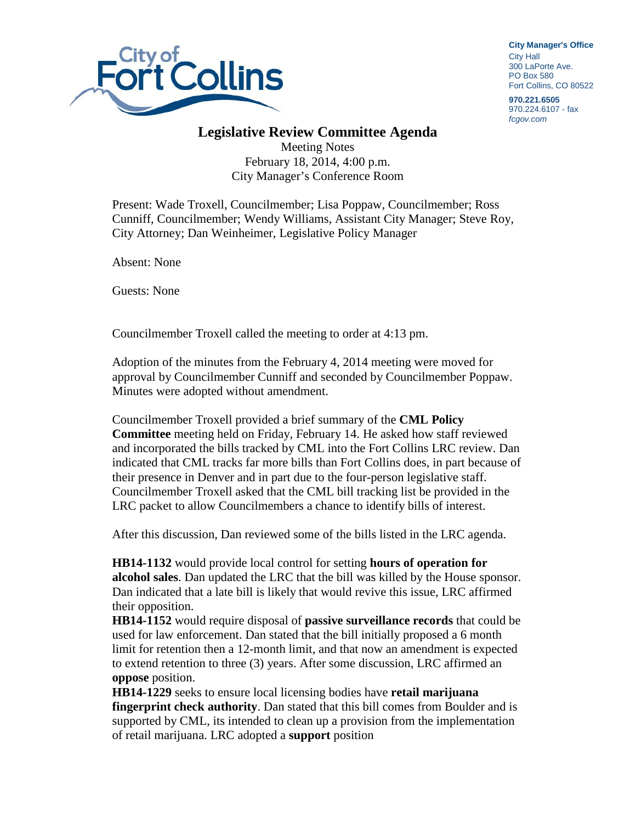

**City Manager**'**s Office** City Hall 300 LaPorte Ave. PO Box 580 Fort Collins, CO 80522

**970.221.6505** 970.224.6107 - fax *fcgov.com*

## **Legislative Review Committee Agenda**

Meeting Notes February 18, 2014, 4:00 p.m. City Manager's Conference Room

Present: Wade Troxell, Councilmember; Lisa Poppaw, Councilmember; Ross Cunniff, Councilmember; Wendy Williams, Assistant City Manager; Steve Roy, City Attorney; Dan Weinheimer, Legislative Policy Manager

Absent: None

Guests: None

Councilmember Troxell called the meeting to order at 4:13 pm.

Adoption of the minutes from the February 4, 2014 meeting were moved for approval by Councilmember Cunniff and seconded by Councilmember Poppaw. Minutes were adopted without amendment.

Councilmember Troxell provided a brief summary of the **CML Policy Committee** meeting held on Friday, February 14. He asked how staff reviewed and incorporated the bills tracked by CML into the Fort Collins LRC review. Dan indicated that CML tracks far more bills than Fort Collins does, in part because of their presence in Denver and in part due to the four-person legislative staff. Councilmember Troxell asked that the CML bill tracking list be provided in the LRC packet to allow Councilmembers a chance to identify bills of interest.

After this discussion, Dan reviewed some of the bills listed in the LRC agenda.

**HB14-1132** would provide local control for setting **hours of operation for alcohol sales**. Dan updated the LRC that the bill was killed by the House sponsor. Dan indicated that a late bill is likely that would revive this issue, LRC affirmed their opposition.

**HB14-1152** would require disposal of **passive surveillance records** that could be used for law enforcement. Dan stated that the bill initially proposed a 6 month limit for retention then a 12-month limit, and that now an amendment is expected to extend retention to three (3) years. After some discussion, LRC affirmed an **oppose** position.

**HB14-1229** seeks to ensure local licensing bodies have **retail marijuana fingerprint check authority**. Dan stated that this bill comes from Boulder and is supported by CML, its intended to clean up a provision from the implementation of retail marijuana. LRC adopted a **support** position